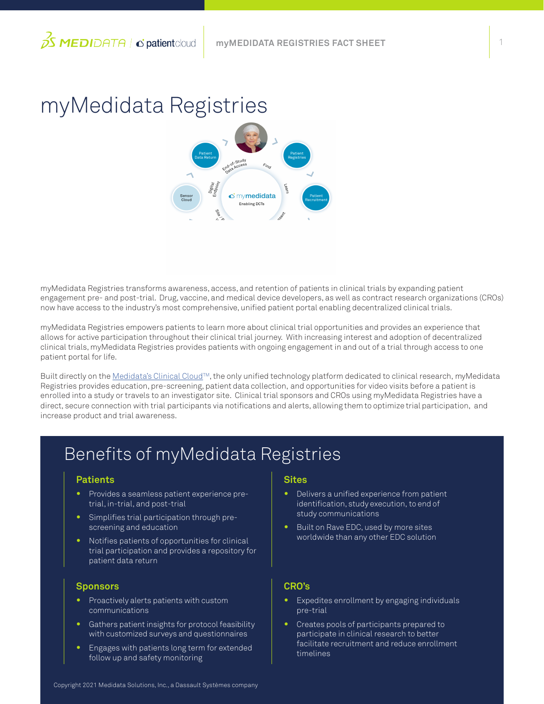1

# myMedidata Registries

myMedidata Registries transforms awareness, access, and retention of patients in clinical trials by expanding patient engagement pre- and post-trial. Drug, vaccine, and medical device developers, as well as contract research organizations (CROs) now have access to the industry's most comprehensive, unified patient portal enabling decentralized clinical trials.

myMedidata Registries empowers patients to learn more about clinical trial opportunities and provides an experience that allows for active participation throughout their clinical trial journey. With increasing interest and adoption of decentralized clinical trials, myMedidata Registries provides patients with ongoing engagement in and out of a trial through access to one patient portal for life.

Built directly on the [Medidata's Clinical Cloud](https://www.medidata.com/en/clinical-trial-products/unified-platform)™, the only unified technology platform dedicated to clinical research, myMedidata Registries provides education, pre-screening, patient data collection, and opportunities for video visits before a patient is enrolled into a study or travels to an investigator site. Clinical trial sponsors and CROs using myMedidata Registries have a direct, secure connection with trial participants via notifications and alerts, allowing them to optimize trial participation, and increase product and trial awareness.

# Benefits of myMedidata Registries

#### **Patients**

- **•** Provides a seamless patient experience pretrial, in-trial, and post-trial
- **•** Simplifies trial participation through prescreening and education
- **•** Notifies patients of opportunities for clinical trial participation and provides a repository for patient data return

#### **Sponsors**

- **•** Proactively alerts patients with custom communications
- **•** Gathers patient insights for protocol feasibility with customized surveys and questionnaires
- **•** Engages with patients long term for extended follow up and safety monitoring

#### **Sites**

- **•** Delivers a unified experience from patient identification, study execution, to end of study communications
- **•** Built on Rave EDC, used by more sites worldwide than any other EDC solution

#### **CRO's**

- **•** Expedites enrollment by engaging individuals pre-trial
- **•** Creates pools of participants prepared to participate in clinical research to better facilitate recruitment and reduce enrollment timelines